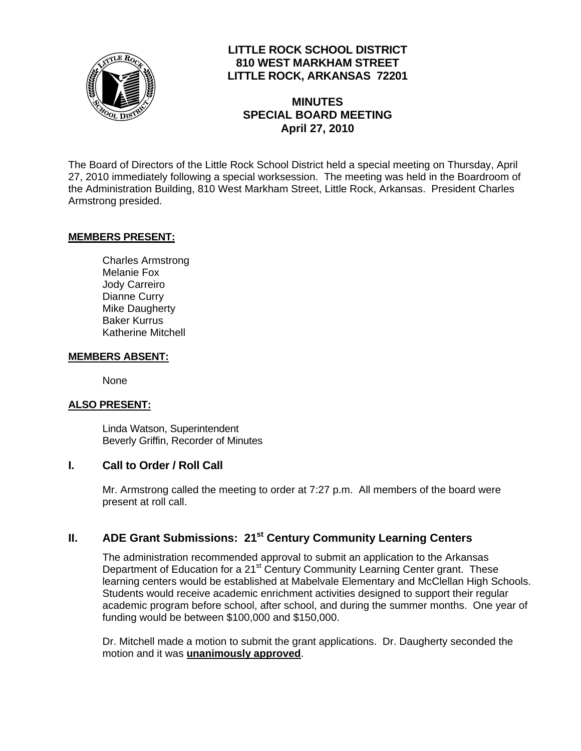

# **LITTLE ROCK SCHOOL DISTRICT 810 WEST MARKHAM STREET LITTLE ROCK, ARKANSAS 72201**

# **MINUTES SPECIAL BOARD MEETING April 27, 2010**

The Board of Directors of the Little Rock School District held a special meeting on Thursday, April 27, 2010 immediately following a special worksession. The meeting was held in the Boardroom of the Administration Building, 810 West Markham Street, Little Rock, Arkansas. President Charles Armstrong presided.

### **MEMBERS PRESENT:**

Charles Armstrong Melanie Fox Jody Carreiro Dianne Curry Mike Daugherty Baker Kurrus Katherine Mitchell

#### **MEMBERS ABSENT:**

None

#### **ALSO PRESENT:**

 Linda Watson, Superintendent Beverly Griffin, Recorder of Minutes

#### **I. Call to Order / Roll Call**

Mr. Armstrong called the meeting to order at 7:27 p.m. All members of the board were present at roll call.

## **II. ADE Grant Submissions: 21<sup>st</sup> Century Community Learning Centers**

The administration recommended approval to submit an application to the Arkansas Department of Education for a 21<sup>st</sup> Century Community Learning Center grant. These learning centers would be established at Mabelvale Elementary and McClellan High Schools. Students would receive academic enrichment activities designed to support their regular academic program before school, after school, and during the summer months. One year of funding would be between \$100,000 and \$150,000.

Dr. Mitchell made a motion to submit the grant applications. Dr. Daugherty seconded the motion and it was **unanimously approved**.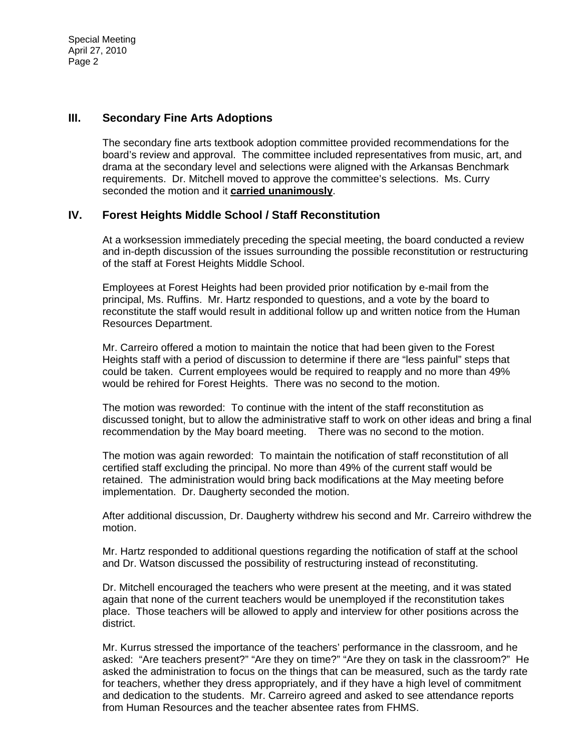Special Meeting April 27, 2010 Page 2

#### **III. Secondary Fine Arts Adoptions**

The secondary fine arts textbook adoption committee provided recommendations for the board's review and approval. The committee included representatives from music, art, and drama at the secondary level and selections were aligned with the Arkansas Benchmark requirements. Dr. Mitchell moved to approve the committee's selections. Ms. Curry seconded the motion and it **carried unanimously**.

### **IV. Forest Heights Middle School / Staff Reconstitution**

At a worksession immediately preceding the special meeting, the board conducted a review and in-depth discussion of the issues surrounding the possible reconstitution or restructuring of the staff at Forest Heights Middle School.

Employees at Forest Heights had been provided prior notification by e-mail from the principal, Ms. Ruffins. Mr. Hartz responded to questions, and a vote by the board to reconstitute the staff would result in additional follow up and written notice from the Human Resources Department.

Mr. Carreiro offered a motion to maintain the notice that had been given to the Forest Heights staff with a period of discussion to determine if there are "less painful" steps that could be taken. Current employees would be required to reapply and no more than 49% would be rehired for Forest Heights. There was no second to the motion.

The motion was reworded: To continue with the intent of the staff reconstitution as discussed tonight, but to allow the administrative staff to work on other ideas and bring a final recommendation by the May board meeting. There was no second to the motion.

The motion was again reworded: To maintain the notification of staff reconstitution of all certified staff excluding the principal. No more than 49% of the current staff would be retained. The administration would bring back modifications at the May meeting before implementation. Dr. Daugherty seconded the motion.

After additional discussion, Dr. Daugherty withdrew his second and Mr. Carreiro withdrew the motion.

Mr. Hartz responded to additional questions regarding the notification of staff at the school and Dr. Watson discussed the possibility of restructuring instead of reconstituting.

Dr. Mitchell encouraged the teachers who were present at the meeting, and it was stated again that none of the current teachers would be unemployed if the reconstitution takes place. Those teachers will be allowed to apply and interview for other positions across the district.

Mr. Kurrus stressed the importance of the teachers' performance in the classroom, and he asked: "Are teachers present?" "Are they on time?" "Are they on task in the classroom?" He asked the administration to focus on the things that can be measured, such as the tardy rate for teachers, whether they dress appropriately, and if they have a high level of commitment and dedication to the students. Mr. Carreiro agreed and asked to see attendance reports from Human Resources and the teacher absentee rates from FHMS.